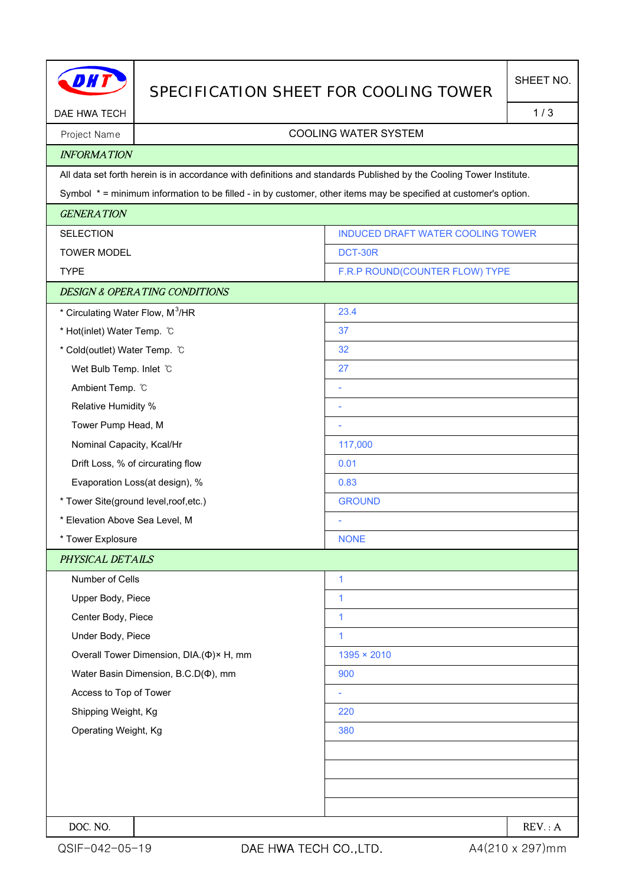|                                                                                                                  | SPECIFICATION SHEET FOR COOLING TOWER                                                                               |                                   | SHEET NO. |  |  |
|------------------------------------------------------------------------------------------------------------------|---------------------------------------------------------------------------------------------------------------------|-----------------------------------|-----------|--|--|
| DAE HWA TECH                                                                                                     |                                                                                                                     |                                   |           |  |  |
| Project Name                                                                                                     | <b>COOLING WATER SYSTEM</b>                                                                                         |                                   |           |  |  |
| <b>INFORMATION</b>                                                                                               |                                                                                                                     |                                   |           |  |  |
|                                                                                                                  | All data set forth herein is in accordance with definitions and standards Published by the Cooling Tower Institute. |                                   |           |  |  |
| Symbol * = minimum information to be filled - in by customer, other items may be specified at customer's option. |                                                                                                                     |                                   |           |  |  |
| <b>GENERATION</b>                                                                                                |                                                                                                                     |                                   |           |  |  |
| <b>SELECTION</b>                                                                                                 |                                                                                                                     | INDUCED DRAFT WATER COOLING TOWER |           |  |  |
| <b>TOWER MODEL</b>                                                                                               |                                                                                                                     | DCT-30R                           |           |  |  |
| <b>TYPE</b>                                                                                                      |                                                                                                                     | F.R.P ROUND(COUNTER FLOW) TYPE    |           |  |  |
|                                                                                                                  | <b>DESIGN &amp; OPERATING CONDITIONS</b>                                                                            |                                   |           |  |  |
| * Circulating Water Flow, M <sup>3</sup> /HR                                                                     |                                                                                                                     | 23.4                              |           |  |  |
| * Hot(inlet) Water Temp. °C                                                                                      |                                                                                                                     | 37                                |           |  |  |
| * Cold(outlet) Water Temp. °C                                                                                    |                                                                                                                     | 32                                |           |  |  |
| Wet Bulb Temp. Inlet C                                                                                           |                                                                                                                     | 27                                |           |  |  |
| Ambient Temp. °C                                                                                                 |                                                                                                                     | ۰                                 |           |  |  |
| Relative Humidity %                                                                                              |                                                                                                                     | ÷                                 |           |  |  |
| Tower Pump Head, M                                                                                               |                                                                                                                     | ÷                                 |           |  |  |
| Nominal Capacity, Kcal/Hr                                                                                        |                                                                                                                     | 117,000                           |           |  |  |
|                                                                                                                  | Drift Loss, % of circurating flow                                                                                   | 0.01                              |           |  |  |
| Evaporation Loss(at design), %                                                                                   |                                                                                                                     | 0.83                              |           |  |  |
| * Tower Site(ground level, roof, etc.)                                                                           |                                                                                                                     | <b>GROUND</b>                     |           |  |  |
| * Elevation Above Sea Level, M                                                                                   |                                                                                                                     |                                   |           |  |  |
| * Tower Explosure                                                                                                |                                                                                                                     | <b>NONE</b>                       |           |  |  |
| PHYSICAL DETAILS                                                                                                 |                                                                                                                     |                                   |           |  |  |
| Number of Cells                                                                                                  |                                                                                                                     | $\mathbf{1}$                      |           |  |  |
| Upper Body, Piece                                                                                                |                                                                                                                     | $\mathbf{1}$                      |           |  |  |
| Center Body, Piece                                                                                               |                                                                                                                     | $\mathbf{1}$                      |           |  |  |
| Under Body, Piece                                                                                                |                                                                                                                     | $\mathbf{1}$                      |           |  |  |
|                                                                                                                  | Overall Tower Dimension, DIA.(Φ)× H, mm                                                                             | $1395 \times 2010$                |           |  |  |
| Water Basin Dimension, B.C.D( $\Phi$ ), mm                                                                       |                                                                                                                     | 900                               |           |  |  |
| Access to Top of Tower                                                                                           |                                                                                                                     |                                   |           |  |  |
| Shipping Weight, Kg                                                                                              |                                                                                                                     | 220                               |           |  |  |
| Operating Weight, Kg                                                                                             |                                                                                                                     | 380                               |           |  |  |
|                                                                                                                  |                                                                                                                     |                                   |           |  |  |
|                                                                                                                  |                                                                                                                     |                                   |           |  |  |
|                                                                                                                  |                                                                                                                     |                                   |           |  |  |
|                                                                                                                  |                                                                                                                     |                                   |           |  |  |
| DOC. NO.                                                                                                         |                                                                                                                     |                                   | REV: A    |  |  |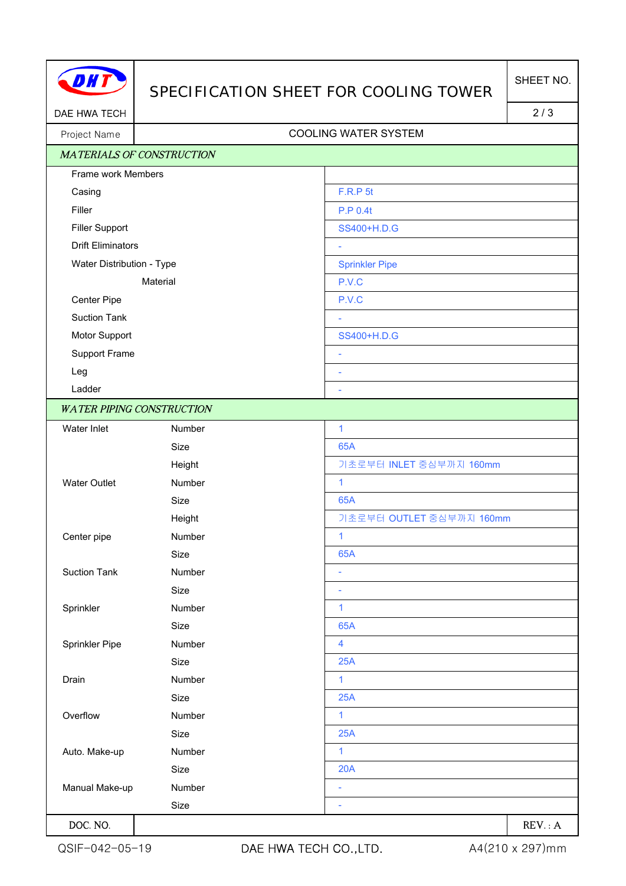

## SPECIFICATION SHEET FOR COOLING TOWER

DAE HWA TECH 2/3

## Project Name | Name | Name | Name | Name | Name | Name | Name | Name | Name | Name | Name | Name | Name | Name | Name | Name | Name | Name | Name | Name | Name | Name | Name | Name | Name | Name | Name | Name | Name | Name

|                           | <b>MATERIALS OF CONSTRUCTION</b> |                          |
|---------------------------|----------------------------------|--------------------------|
| Frame work Members        |                                  |                          |
| Casing                    |                                  | F.R.P 5t                 |
| Filler                    |                                  | P.P 0.4t                 |
| <b>Filler Support</b>     |                                  | SS400+H.D.G              |
| <b>Drift Eliminators</b>  |                                  | $\overline{\phantom{a}}$ |
| Water Distribution - Type |                                  | <b>Sprinkler Pipe</b>    |
| Material                  |                                  | P.V.C                    |
| Center Pipe               |                                  | P.V.C                    |
| <b>Suction Tank</b>       |                                  | $\bar{a}$                |
| Motor Support             |                                  | SS400+H.D.G              |
| Support Frame             |                                  | $\overline{\phantom{a}}$ |
| Leg                       |                                  | $\bar{\phantom{a}}$      |
| Ladder                    |                                  | $\bar{a}$                |
|                           | <b>WATER PIPING CONSTRUCTION</b> |                          |
| Water Inlet               | Number                           | $\overline{1}$           |
|                           | Size                             | 65A                      |
|                           | Height                           | 기초로부터 INLET 중심부까지 160mm  |
| <b>Water Outlet</b>       | Number                           | $\mathbf{1}$             |
|                           | Size                             | 65A                      |
|                           | Height                           | 기초로부터 OUTLET 중심부까지 160mm |
| Center pipe               | Number                           | $\mathbf{1}$             |
|                           | Size                             | 65A                      |
| <b>Suction Tank</b>       | Number                           | $\overline{\phantom{a}}$ |
|                           | Size                             | $\overline{\phantom{a}}$ |
| Sprinkler                 | Number                           | $\mathbf{1}$             |
|                           | Size                             | 65A                      |
| Sprinkler Pipe            | Number                           | $\overline{\mathbf{4}}$  |
|                           | Size                             | 25A                      |
| Drain                     | Number                           | $\mathbf{1}$             |
|                           | Size                             | 25A                      |
| Overflow                  | Number                           | 1                        |
|                           | Size                             | 25A                      |
| Auto. Make-up             | Number                           | $\mathbf{1}$             |
|                           | Size                             | 20A                      |
| Manual Make-up            | Number                           | ÷                        |
|                           | Size                             | $\overline{\phantom{a}}$ |
| DOC. NO.                  |                                  | REV: A                   |